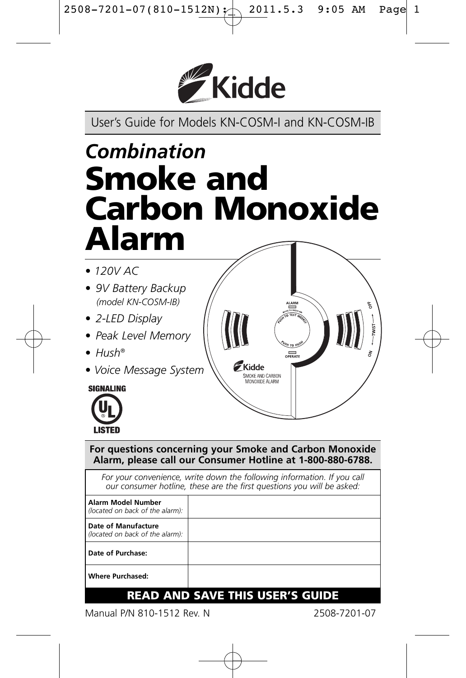

User's Guide for Models KN-COSM-I and KN-COSM-IB

# *Combination* **Smoke and Carbon Monoxide Alarm**

- *120V AC*
- *9V Battery Backup (model KN-COSM-IB)*
- *2-LED Display*
- *Peak Level Memory*
- *Hush®*
- *Voice Message System*

**SIGNALING** 



**For questions concerning your Smoke and Carbon Monoxide Alarm, please call our Consumer Hotline at 1-800-880-6788.**

.<br>Kidde **SMOKE AND CARBON**<br>MONOXIDE ALARM

For your convenience, write down the following information. If you call *our consumer hotline, these are the first questions you will be asked:*

| <b>Alarm Model Number</b><br>(located on back of the alarm): |  |
|--------------------------------------------------------------|--|
| Date of Manufacture<br>(located on back of the alarm):       |  |
| Date of Purchase:                                            |  |
| <b>Where Purchased:</b>                                      |  |

### **READ AND SAVE THIS USER'S GUIDE**

Manual P/N 810-1512 Rev. N 2508-7201-07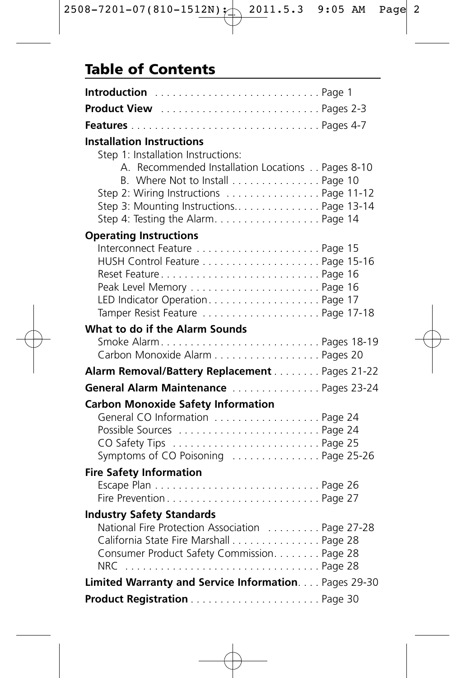### **Table of Contents**

| <b>Product View</b> Pages 2-3                                                                                                                                                                                  |  |
|----------------------------------------------------------------------------------------------------------------------------------------------------------------------------------------------------------------|--|
|                                                                                                                                                                                                                |  |
| <b>Installation Instructions</b><br>Step 1: Installation Instructions:                                                                                                                                         |  |
| A. Recommended Installation Locations Pages 8-10<br>B. Where Not to Install Page 10<br>Step 2: Wiring Instructions  Page 11-12<br>Step 3: Mounting Instructions Page 13-14<br>Step 4: Testing the AlarmPage 14 |  |
| <b>Operating Instructions</b>                                                                                                                                                                                  |  |
| Interconnect Feature  Page 15<br>Reset FeaturePage 16<br>Peak Level Memory  Page 16<br>LED Indicator Operation Page 17<br>Tamper Resist Feature Page 17-18                                                     |  |
| What to do if the Alarm Sounds                                                                                                                                                                                 |  |
| Smoke AlarmPages 18-19<br>Carbon Monoxide Alarm Pages 20                                                                                                                                                       |  |
| Alarm Removal/Battery Replacement Pages 21-22                                                                                                                                                                  |  |
| General Alarm Maintenance Pages 23-24                                                                                                                                                                          |  |
| <b>Carbon Monoxide Safety Information</b><br>General CO Information Page 24<br>Possible Sources  Page 24<br>Symptoms of CO Poisoning  Page 25-26                                                               |  |
| <b>Fire Safety Information</b>                                                                                                                                                                                 |  |
| Fire PreventionPage 27                                                                                                                                                                                         |  |
| <b>Industry Safety Standards</b>                                                                                                                                                                               |  |
| National Fire Protection Association  Page 27-28<br>California State Fire Marshall Page 28<br>Consumer Product Safety Commission. Page 28                                                                      |  |
| Limited Warranty and Service Information. Pages 29-30                                                                                                                                                          |  |
|                                                                                                                                                                                                                |  |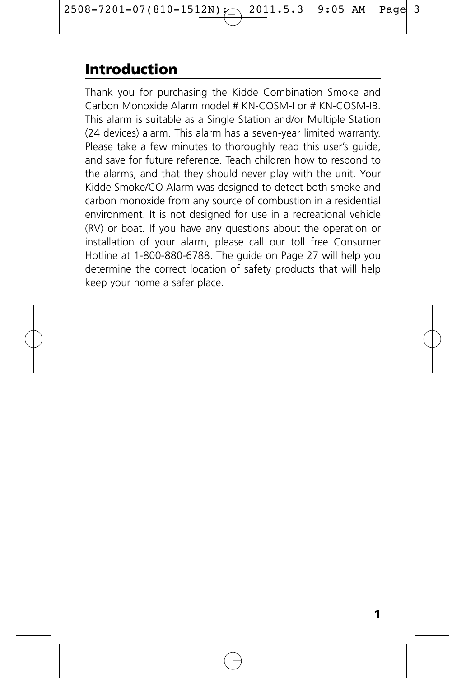# **Introduction**

Thank you for purchasing the Kidde Combination Smoke and Carbon Monoxide Alarm model # KN-COSM-I or # KN-COSM-IB. This alarm is suitable as a Single Station and/or Multiple Station (24 devices) alarm. This alarm has a seven-year limited warranty. Please take a few minutes to thoroughly read this user's guide, and save for future reference. Teach children how to respond to the alarms, and that they should never play with the unit. Your Kidde Smoke/CO Alarm was designed to detect both smoke and carbon monoxide from any source of combustion in a residential environment. It is not designed for use in a recreational vehicle (RV) or boat. If you have any questions about the operation or installation of your alarm, please call our toll free Consumer Hotline at 1-800-880-6788. The guide on Page 27 will help you determine the correct location of safety products that will help keep your home a safer place.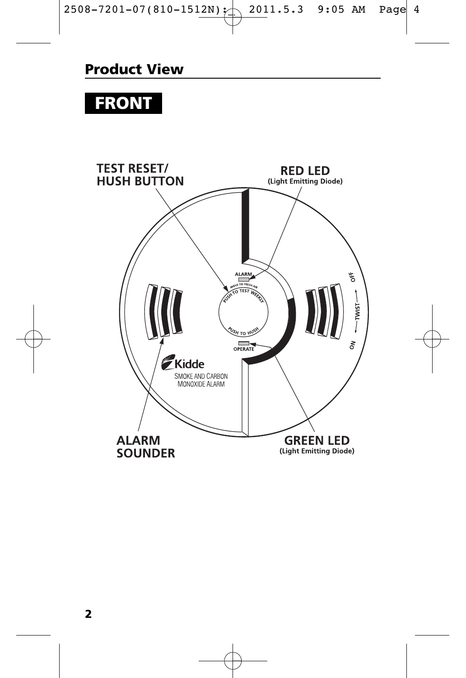# **FRONT**

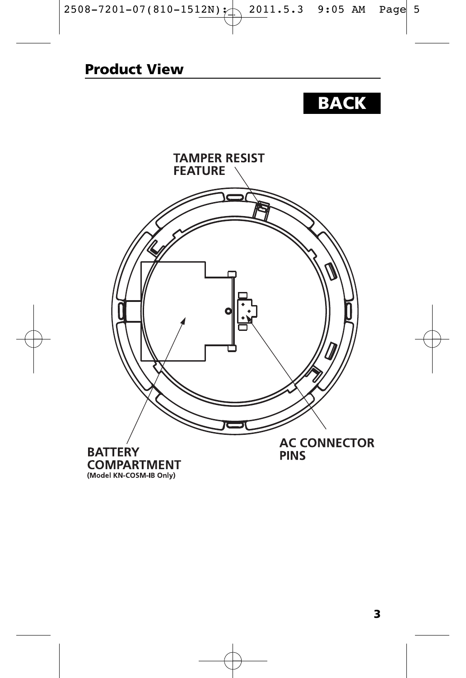# **BACK**



(Model KN-COSM-IB Only)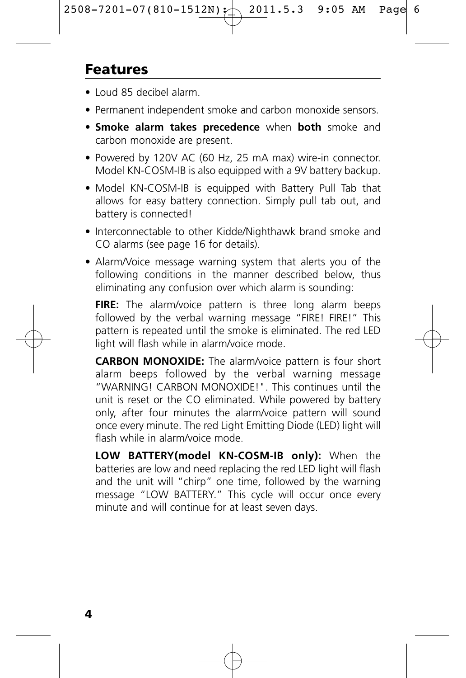### **Features**

- Loud 85 decibel alarm.
- Permanent independent smoke and carbon monoxide sensors.
- **Smoke alarm takes precedence** when **both** smoke and carbon monoxide are present.
- Powered by 120V AC (60 Hz, 25 mA max) wire-in connector. Model KN-COSM-IB is also equipped with a 9V battery backup.
- Model KN-COSM-IB is equipped with Battery Pull Tab that allows for easy battery connection. Simply pull tab out, and battery is connected!
- Interconnectable to other Kidde/Nighthawk brand smoke and CO alarms (see page 16 for details).
- Alarm/Voice message warning system that alerts you of the following conditions in the manner described below, thus eliminating any confusion over which alarm is sounding:

FIRE: The alarm/voice pattern is three long alarm beeps followed by the verbal warning message "FIRE! FIRE!" This pattern is repeated until the smoke is eliminated. The red LED light will flash while in alarm/voice mode.

**CARBON MONOXIDE:** The alarm/voice pattern is four short alarm beeps followed by the verbal warning message "WARNING! CARBON MONOXIDE!". This continues until the unit is reset or the CO eliminated. While powered by battery only, after four minutes the alarm/voice pattern will sound once every minute. The red Light Emitting Diode (LED) light will flash while in alarm/voice mode.

**LOW BATTERY(model KN-COSM-IB only):** When the batteries are low and need replacing the red LED light will flash and the unit will "chirp" one time, followed by the warning message "LOW BATTERY." This cycle will occur once every minute and will continue for at least seven days.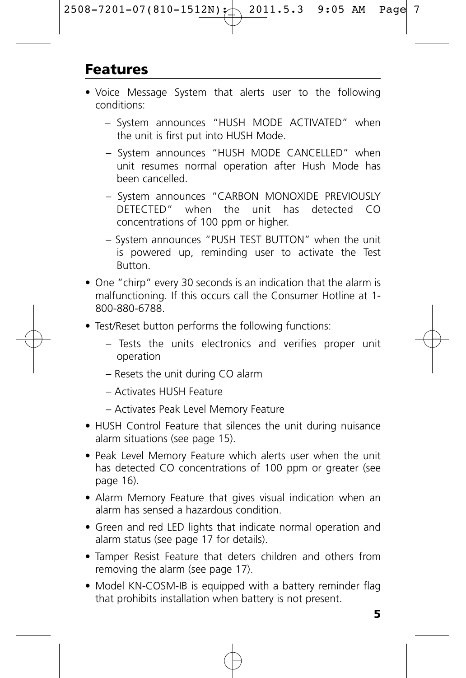### **Features**

- Voice Message System that alerts user to the following conditions:
	- System announces "HUSH MODE ACTIVATED" when the unit is first put into HUSH Mode.
	- System announces "HUSH MODE CANCELLED" when unit resumes normal operation after Hush Mode has been cancelled.
	- System announces "CARBON MONOXIDE PREVIOUSLY DETECTED" when the unit has detected CO concentrations of 100 ppm or higher.
	- System announces "PUSH TEST BUTTON" when the unit is powered up, reminding user to activate the Test Button.
- One "chirp" every 30 seconds is an indication that the alarm is malfunctioning. If this occurs call the Consumer Hotline at 1- 800-880-6788.
- Test/Reset button performs the following functions:
	- Tests the units electronics and verifies proper unit operation
	- Resets the unit during CO alarm
	- Activates HUSH Feature
	- Activates Peak Level Memory Feature
- HUSH Control Feature that silences the unit during nuisance alarm situations (see page 15).
- Peak Level Memory Feature which alerts user when the unit has detected CO concentrations of 100 ppm or greater (see page 16).
- Alarm Memory Feature that gives visual indication when an alarm has sensed a hazardous condition.
- Green and red LED lights that indicate normal operation and alarm status (see page 17 for details).
- Tamper Resist Feature that deters children and others from removing the alarm (see page 17).
- Model KN-COSM-IB is equipped with a battery reminder flag that prohibits installation when battery is not present.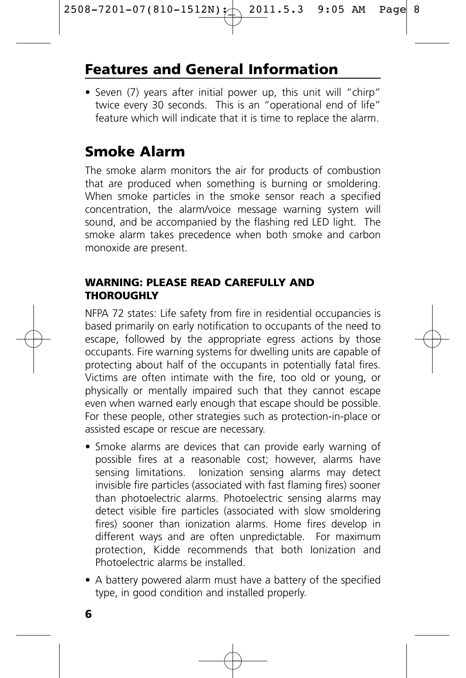### **Features and General Information**

• Seven (7) years after initial power up, this unit will "chirp" twice every 30 seconds. This is an "operational end of life" feature which will indicate that it is time to replace the alarm.

### **Smoke Alarm**

The smoke alarm monitors the air for products of combustion that are produced when something is burning or smoldering. When smoke particles in the smoke sensor reach a specified concentration, the alarm/voice message warning system will sound, and be accompanied by the flashing red LED light. The smoke alarm takes precedence when both smoke and carbon monoxide are present.

#### **WARNING: PLEASE READ CAREFULLY AND THOROUGHLY**

NFPA 72 states: Life safety from fire in residential occupancies is based primarily on early notification to occupants of the need to escape, followed by the appropriate egress actions by those occupants. Fire warning systems for dwelling units are capable of protecting about half of the occupants in potentially fatal fires. Victims are often intimate with the fire, too old or young, or physically or mentally impaired such that they cannot escape even when warned early enough that escape should be possible. For these people, other strategies such as protection-in-place or assisted escape or rescue are necessary.

- Smoke alarms are devices that can provide early warning of possible fires at a reasonable cost; however, alarms have sensing limitations. Ionization sensing alarms may detect invisible fire particles (associated with fast flaming fires) sooner than photoelectric alarms. Photoelectric sensing alarms may detect visible fire particles (associated with slow smoldering fires) sooner than ionization alarms. Home fires develop in different ways and are often unpredictable. For maximum protection, Kidde recommends that both Ionization and Photoelectric alarms be installed.
- A battery powered alarm must have a battery of the specified type, in good condition and installed properly.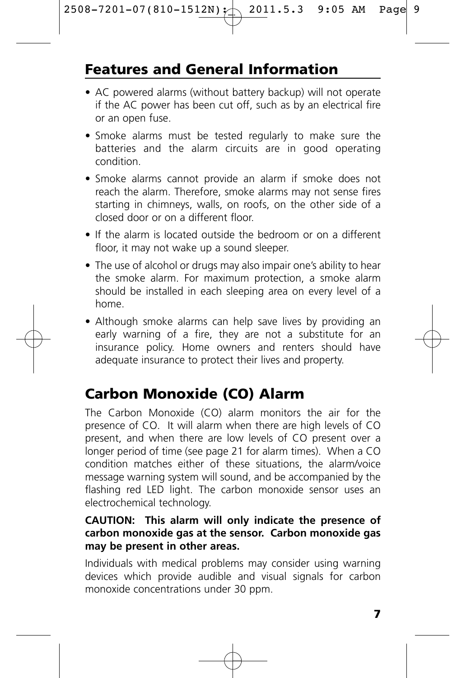# **Features and General Information**

- AC powered alarms (without battery backup) will not operate if the AC power has been cut off, such as by an electrical fire or an open fuse.
- Smoke alarms must be tested regularly to make sure the batteries and the alarm circuits are in good operating condition.
- Smoke alarms cannot provide an alarm if smoke does not reach the alarm. Therefore, smoke alarms may not sense fires starting in chimneys, walls, on roofs, on the other side of a closed door or on a different floor.
- If the alarm is located outside the bedroom or on a different floor, it may not wake up a sound sleeper.
- The use of alcohol or drugs may also impair one's ability to hear the smoke alarm. For maximum protection, a smoke alarm should be installed in each sleeping area on every level of a home.
- Although smoke alarms can help save lives by providing an early warning of a fire, they are not a substitute for an insurance policy. Home owners and renters should have adequate insurance to protect their lives and property.

# **Carbon Monoxide (CO) Alarm**

The Carbon Monoxide (CO) alarm monitors the air for the presence of CO. It will alarm when there are high levels of CO present, and when there are low levels of CO present over a longer period of time (see page 21 for alarm times). When a CO condition matches either of these situations, the alarm/voice message warning system will sound, and be accompanied by the flashing red LED light. The carbon monoxide sensor uses an electrochemical technology.

#### **CAUTION: This alarm will only indicate the presence of carbon monoxide gas at the sensor. Carbon monoxide gas may be present in other areas.**

Individuals with medical problems may consider using warning devices which provide audible and visual signals for carbon monoxide concentrations under 30 ppm.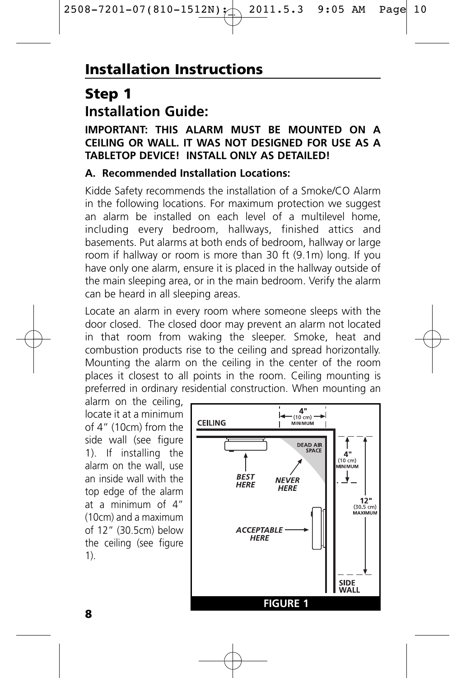### **Step 1 Installation Guide:**

#### **IMPORTANT: THIS ALARM MUST BE MOUNTED ON A CEILING OR WALL. IT WAS NOT DESIGNED FOR USE AS A TABLETOP DEVICE! INSTALL ONLY AS DETAILED!**

#### **A. Recommended Installation Locations:**

Kidde Safety recommends the installation of a Smoke/CO Alarm in the following locations. For maximum protection we suggest an alarm be installed on each level of a multilevel home, including every bedroom, hallways, finished attics and basements. Put alarms at both ends of bedroom, hallway or large room if hallway or room is more than 30 ft (9.1m) long. If you have only one alarm, ensure it is placed in the hallway outside of the main sleeping area, or in the main bedroom. Verify the alarm can be heard in all sleeping areas.

Locate an alarm in every room where someone sleeps with the door closed. The closed door may prevent an alarm not located in that room from waking the sleeper. Smoke, heat and combustion products rise to the ceiling and spread horizontally. Mounting the alarm on the ceiling in the center of the room places it closest to all points in the room. Ceiling mounting is preferred in ordinary residential construction. When mounting an

alarm on the ceiling, locate it at a minimum of 4" (10cm) from the side wall (see figure 1). If installing the alarm on the wall, use an inside wall with the top edge of the alarm at a minimum of 4" (10cm) and a maximum of 12" (30.5cm) below the ceiling (see figure 1).

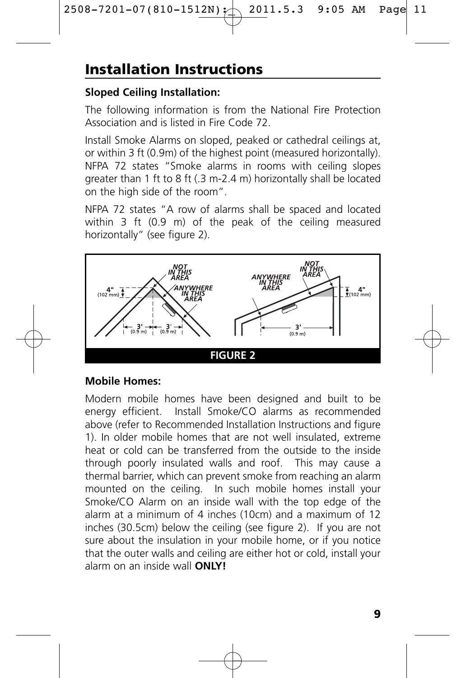# **Installation Instructions**

### **Sloped Ceiling Installation:**

The following information is from the National Fire Protection Association and is listed in Fire Code 72.

Install Smoke Alarms on sloped, peaked or cathedral ceilings at, or within 3 ft (0.9m) of the highest point (measured horizontally). NFPA 72 states "Smoke alarms in rooms with ceiling slopes greater than 1 ft to 8 ft (.3 m-2.4 m) horizontally shall be located on the high side of the room".

NFPA 72 states "A row of alarms shall be spaced and located within 3 ft (0.9 m) of the peak of the ceiling measured horizontally" (see figure 2).



### **Mobile Homes:**

Modern mobile homes have been designed and built to be energy efficient. Install Smoke/CO alarms as recommended above (refer to Recommended Installation Instructions and figure 1). In older mobile homes that are not well insulated, extreme heat or cold can be transferred from the outside to the inside through poorly insulated walls and roof. This may cause a thermal barrier, which can prevent smoke from reaching an alarm mounted on the ceiling. In such mobile homes install your Smoke/CO Alarm on an inside wall with the top edge of the alarm at a minimum of 4 inches (10cm) and a maximum of 12 inches (30.5cm) below the ceiling (see figure 2). If you are not sure about the insulation in your mobile home, or if you notice that the outer walls and ceiling are either hot or cold, install your alarm on an inside wall **ONLY!**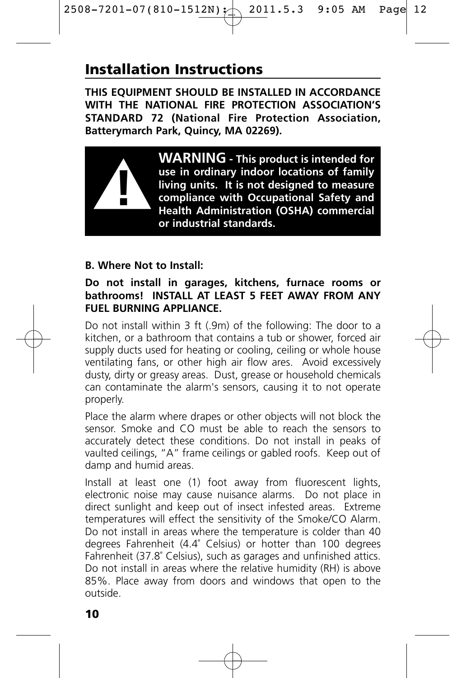## **Installation Instructions**

**THIS EQUIPMENT SHOULD BE INSTALLED IN ACCORDANCE WITH THE NATIONAL FIRE PROTECTION ASSOCIATION'S STANDARD 72 (National Fire Protection Association, Batterymarch Park, Quincy, MA 02269).**



**WARNING - This product is intended for use in ordinary indoor locations of family living units. It is not designed to measure compliance with Occupational Safety and Health Administration (OSHA) commercial or industrial standards.**

#### **B. Where Not to Install:**

#### **Do not install in garages, kitchens, furnace rooms or bathrooms! INSTALL AT LEAST 5 FEET AWAY FROM ANY FUEL BURNING APPLIANCE.**

Do not install within 3 ft (.9m) of the following: The door to a kitchen, or a bathroom that contains a tub or shower, forced air supply ducts used for heating or cooling, ceiling or whole house ventilating fans, or other high air flow ares. Avoid excessively dusty, dirty or greasy areas. Dust, grease or household chemicals can contaminate the alarm's sensors, causing it to not operate properly.

Place the alarm where drapes or other objects will not block the sensor. Smoke and CO must be able to reach the sensors to accurately detect these conditions. Do not install in peaks of vaulted ceilings, "A" frame ceilings or gabled roofs. Keep out of damp and humid areas.

Install at least one (1) foot away from fluorescent lights, electronic noise may cause nuisance alarms. Do not place in direct sunlight and keep out of insect infested areas. Extreme temperatures will effect the sensitivity of the Smoke/CO Alarm. Do not install in areas where the temperature is colder than 40 degrees Fahrenheit (4.4˚ Celsius) or hotter than 100 degrees Fahrenheit (37.8˚ Celsius), such as garages and unfinished attics. Do not install in areas where the relative humidity (RH) is above 85%. Place away from doors and windows that open to the outside.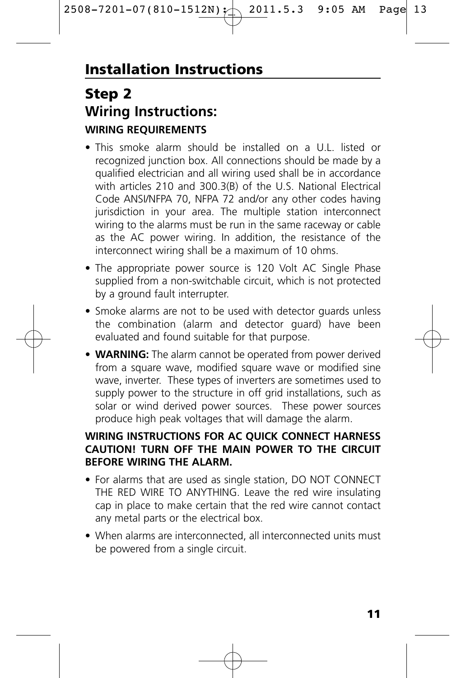### **Step 2 Wiring Instructions: WIRING REQUIREMENTS**

- This smoke alarm should be installed on a U.L. listed or recognized junction box. All connections should be made by a qualified electrician and all wiring used shall be in accordance with articles 210 and 300.3(B) of the U.S. National Electrical Code ANSI/NFPA 70, NFPA 72 and/or any other codes having jurisdiction in your area. The multiple station interconnect wiring to the alarms must be run in the same raceway or cable as the AC power wiring. In addition, the resistance of the interconnect wiring shall be a maximum of 10 ohms.
- The appropriate power source is 120 Volt AC Single Phase supplied from a non-switchable circuit, which is not protected by a ground fault interrupter.
- Smoke alarms are not to be used with detector guards unless the combination (alarm and detector guard) have been evaluated and found suitable for that purpose.
- **WARNING:** The alarm cannot be operated from power derived from a square wave, modified square wave or modified sine wave, inverter. These types of inverters are sometimes used to supply power to the structure in off grid installations, such as solar or wind derived power sources. These power sources produce high peak voltages that will damage the alarm.

#### **WIRING INSTRUCTIONS FOR AC QUICK CONNECT HARNESS CAUTION! TURN OFF THE MAIN POWER TO THE CIRCUIT BEFORE WIRING THE ALARM.**

- For alarms that are used as single station, DO NOT CONNECT THE RED WIRE TO ANYTHING. Leave the red wire insulating cap in place to make certain that the red wire cannot contact any metal parts or the electrical box.
- When alarms are interconnected, all interconnected units must be powered from a single circuit.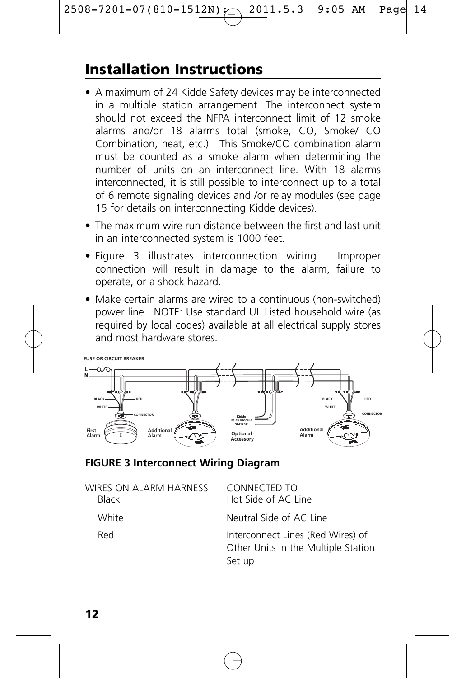# **Installation Instructions**

- A maximum of 24 Kidde Safety devices may be interconnected in a multiple station arrangement. The interconnect system should not exceed the NFPA interconnect limit of 12 smoke alarms and/or 18 alarms total (smoke, CO, Smoke/ CO Combination, heat, etc.). This Smoke/CO combination alarm must be counted as a smoke alarm when determining the number of units on an interconnect line. With 18 alarms interconnected, it is still possible to interconnect up to a total of 6 remote signaling devices and /or relay modules (see page 15 for details on interconnecting Kidde devices).
- The maximum wire run distance between the first and last unit in an interconnected system is 1000 feet.
- Figure 3 illustrates interconnection wiring. Improper connection will result in damage to the alarm, failure to operate, or a shock hazard.
- Make certain alarms are wired to a continuous (non-switched) power line. NOTE: Use standard UL Listed household wire (as required by local codes) available at all electrical supply stores and most hardware stores.



#### **FIGURE 3 Interconnect Wiring Diagram**

| WIRES ON ALARM HARNESS<br><b>Black</b> | CONNECTED TO<br>Hot Side of AC Line                                                |
|----------------------------------------|------------------------------------------------------------------------------------|
| White                                  | Neutral Side of AC Line                                                            |
| Red                                    | Interconnect Lines (Red Wires) of<br>Other Units in the Multiple Station<br>Set up |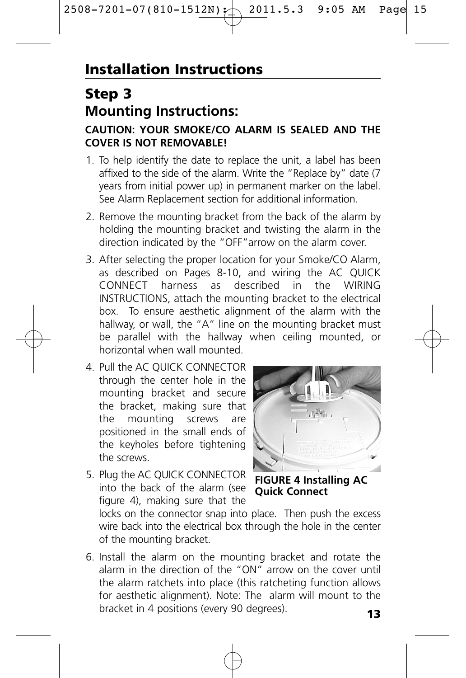# **Step 3 Mounting Instructions:**

#### **CAUTION: YOUR SMOKE/CO ALARM IS SEALED AND THE COVER IS NOT REMOVABLE!**

- 1. To help identify the date to replace the unit, a label has been affixed to the side of the alarm. Write the "Replace by" date (7 years from initial power up) in permanent marker on the label. See Alarm Replacement section for additional information.
- 2. Remove the mounting bracket from the back of the alarm by holding the mounting bracket and twisting the alarm in the direction indicated by the "OFF"arrow on the alarm cover.
- 3. After selecting the proper location for your Smoke/CO Alarm, as described on Pages 8-10, and wiring the AC QUICK CONNECT harness as described in the WIRING INSTRUCTIONS, attach the mounting bracket to the electrical box. To ensure aesthetic alignment of the alarm with the hallway, or wall, the "A" line on the mounting bracket must be parallel with the hallway when ceiling mounted, or horizontal when wall mounted.
- 4. Pull the AC QUICK CONNECTOR through the center hole in the mounting bracket and secure the bracket, making sure that the mounting screws are positioned in the small ends of the keyholes before tightening the screws.
- 5. Plug the AC QUICK CONNECTOR into the back of the alarm (see figure 4), making sure that the



**FIGURE 4 Installing AC Quick Connect**

locks on the connector snap into place. Then push the excess wire back into the electrical box through the hole in the center of the mounting bracket.

6. Install the alarm on the mounting bracket and rotate the alarm in the direction of the "ON" arrow on the cover until the alarm ratchets into place (this ratcheting function allows for aesthetic alignment). Note: The alarm will mount to the bracket in 4 positions (every 90 degrees). **<sup>13</sup>**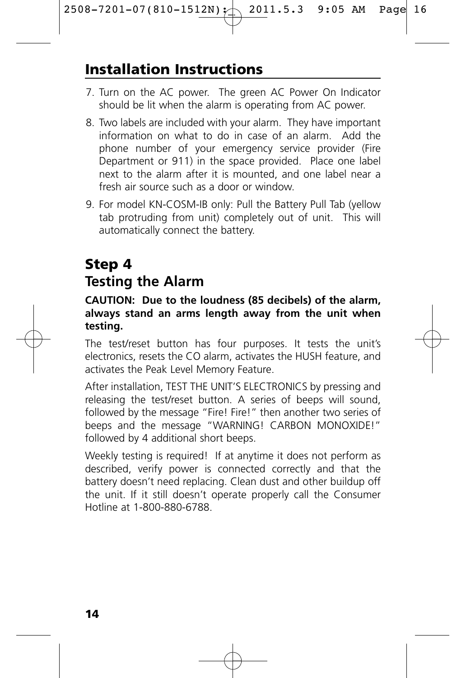## **Installation Instructions**

- 7. Turn on the AC power. The green AC Power On Indicator should be lit when the alarm is operating from AC power.
- 8. Two labels are included with your alarm. They have important information on what to do in case of an alarm. Add the phone number of your emergency service provider (Fire Department or 911) in the space provided. Place one label next to the alarm after it is mounted, and one label near a fresh air source such as a door or window.
- 9. For model KN-COSM-IB only: Pull the Battery Pull Tab (yellow tab protruding from unit) completely out of unit. This will automatically connect the battery.

# **Step 4**

### **Testing the Alarm**

#### **CAUTION: Due to the loudness (85 decibels) of the alarm, always stand an arms length away from the unit when testing.**

The test/reset button has four purposes. It tests the unit's electronics, resets the CO alarm, activates the HUSH feature, and activates the Peak Level Memory Feature.

After installation, TEST THE UNIT'S ELECTRONICS by pressing and releasing the test/reset button. A series of beeps will sound, followed by the message "Fire! Fire!" then another two series of beeps and the message "WARNING! CARBON MONOXIDE!" followed by 4 additional short beeps.

Weekly testing is required! If at anytime it does not perform as described, verify power is connected correctly and that the battery doesn't need replacing. Clean dust and other buildup off the unit. If it still doesn't operate properly call the Consumer Hotline at 1-800-880-6788.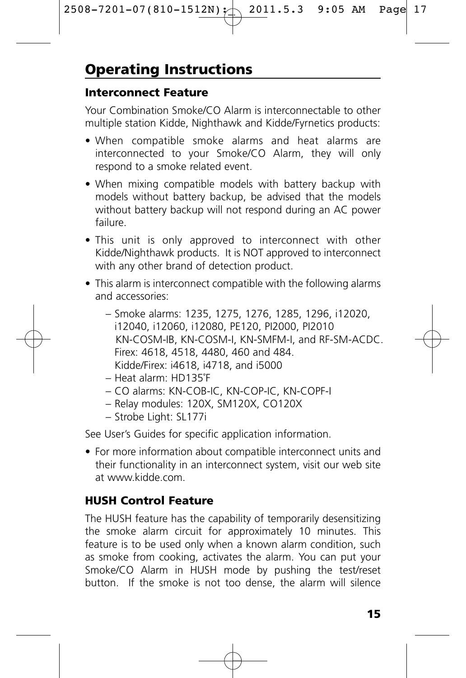#### **Interconnect Feature**

Your Combination Smoke/CO Alarm is interconnectable to other multiple station Kidde, Nighthawk and Kidde/Fyrnetics products:

- When compatible smoke alarms and heat alarms are interconnected to your Smoke/CO Alarm, they will only respond to a smoke related event.
- When mixing compatible models with battery backup with models without battery backup, be advised that the models without battery backup will not respond during an AC power failure.
- This unit is only approved to interconnect with other Kidde/Nighthawk products. It is NOT approved to interconnect with any other brand of detection product.
- This alarm is interconnect compatible with the following alarms and accessories:
	- Smoke alarms: 1235, 1275, 1276, 1285, 1296, i12020, i12040, i12060, i12080, PE120, PI2000, PI2010 KN-COSM-IB, KN-COSM-I, KN-SMFM-I, and RF-SM-ACDC. Firex: 4618, 4518, 4480, 460 and 484. Kidde/Firex: i4618, i4718, and i5000
	- Heat alarm: HD135˚F
	- CO alarms: KN-COB-IC, KN-COP-IC, KN-COPF-I
	- Relay modules: 120X, SM120X, CO120X
	- Strobe Light: SL177i

See User's Guides for specific application information.

• For more information about compatible interconnect units and their functionality in an interconnect system, visit our web site at www.kidde.com.

### **HUSH Control Feature**

The HUSH feature has the capability of temporarily desensitizing the smoke alarm circuit for approximately 10 minutes. This feature is to be used only when a known alarm condition, such as smoke from cooking, activates the alarm. You can put your Smoke/CO Alarm in HUSH mode by pushing the test/reset button. If the smoke is not too dense, the alarm will silence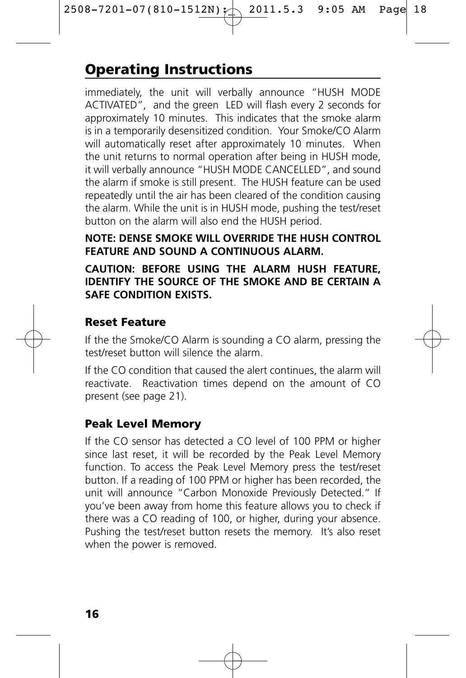# **Operating Instructions**

immediately, the unit will verbally announce "HUSH MODE ACTIVATED", and the green LED will flash every 2 seconds for approximately 10 minutes. This indicates that the smoke alarm is in a temporarily desensitized condition. Your Smoke/CO Alarm will automatically reset after approximately 10 minutes. When the unit returns to normal operation after being in HUSH mode, it will verbally announce "HUSH MODE CANCELLED", and sound the alarm if smoke is still present. The HUSH feature can be used repeatedly until the air has been cleared of the condition causing the alarm. While the unit is in HUSH mode, pushing the test/reset button on the alarm will also end the HUSH period.

#### **NOTE: DENSE SMOKE WILL OVERRIDE THE HUSH CONTROL FEATURE AND SOUND A CONTINUOUS ALARM.**

#### **CAUTION: BEFORE USING THE ALARM HUSH FEATURE, IDENTIFY THE SOURCE OF THE SMOKE AND BE CERTAIN A SAFE CONDITION EXISTS.**

#### **Reset Feature**

If the the Smoke/CO Alarm is sounding a CO alarm, pressing the test/reset button will silence the alarm.

If the CO condition that caused the alert continues, the alarm will reactivate. Reactivation times depend on the amount of CO present (see page 21).

### **Peak Level Memory**

If the CO sensor has detected a CO level of 100 PPM or higher since last reset, it will be recorded by the Peak Level Memory function. To access the Peak Level Memory press the test/reset button. If a reading of 100 PPM or higher has been recorded, the unit will announce "Carbon Monoxide Previously Detected." If you've been away from home this feature allows you to check if there was a CO reading of 100, or higher, during your absence. Pushing the test/reset button resets the memory. It's also reset when the power is removed.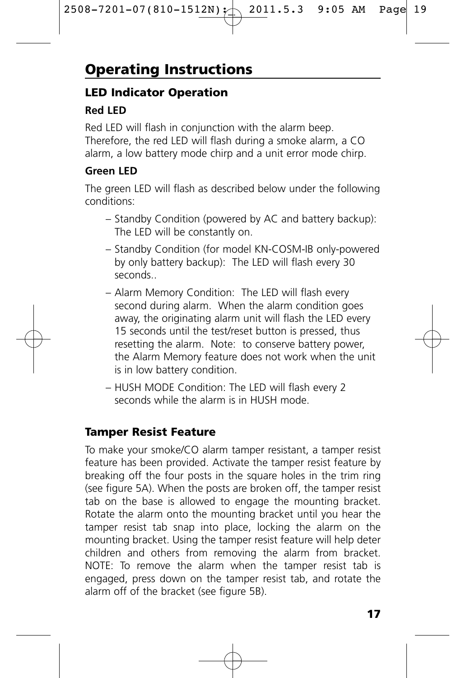# **Operating Instructions**

#### **LED Indicator Operation**

#### **Red LED**

Red LED will flash in conjunction with the alarm beep. Therefore, the red LED will flash during a smoke alarm, a CO alarm, a low battery mode chirp and a unit error mode chirp.

#### **Green LED**

The green LED will flash as described below under the following conditions:

- Standby Condition (powered by AC and battery backup): The LED will be constantly on.
- Standby Condition (for model KN-COSM-IB only-powered by only battery backup): The LED will flash every 30 seconds..
- Alarm Memory Condition: The LED will flash every second during alarm. When the alarm condition goes away, the originating alarm unit will flash the LED every 15 seconds until the test/reset button is pressed, thus resetting the alarm. Note: to conserve battery power, the Alarm Memory feature does not work when the unit is in low battery condition.
- HUSH MODE Condition: The LED will flash every 2 seconds while the alarm is in HUSH mode.

### **Tamper Resist Feature**

To make your smoke/CO alarm tamper resistant, a tamper resist feature has been provided. Activate the tamper resist feature by breaking off the four posts in the square holes in the trim ring (see figure 5A). When the posts are broken off, the tamper resist tab on the base is allowed to engage the mounting bracket. Rotate the alarm onto the mounting bracket until you hear the tamper resist tab snap into place, locking the alarm on the mounting bracket. Using the tamper resist feature will help deter children and others from removing the alarm from bracket. NOTE: To remove the alarm when the tamper resist tab is engaged, press down on the tamper resist tab, and rotate the alarm off of the bracket (see figure 5B).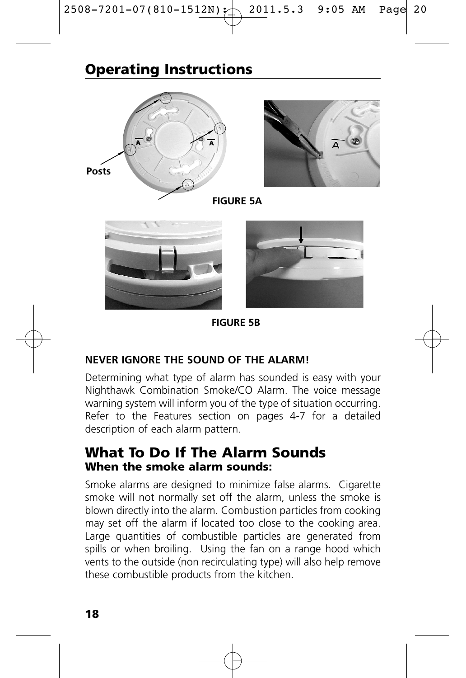### **Operating Instructions**





**FIGURE 5A**





**FIGURE 5B**

#### **NEVER IGNORE THE SOUND OF THE ALARM!**

Determining what type of alarm has sounded is easy with your Nighthawk Combination Smoke/CO Alarm. The voice message warning system will inform you of the type of situation occurring. Refer to the Features section on pages 4-7 for a detailed description of each alarm pattern.

### **What To Do If The Alarm Sounds When the smoke alarm sounds:**

Smoke alarms are designed to minimize false alarms. Cigarette smoke will not normally set off the alarm, unless the smoke is blown directly into the alarm. Combustion particles from cooking may set off the alarm if located too close to the cooking area. Large quantities of combustible particles are generated from spills or when broiling. Using the fan on a range hood which vents to the outside (non recirculating type) will also help remove these combustible products from the kitchen.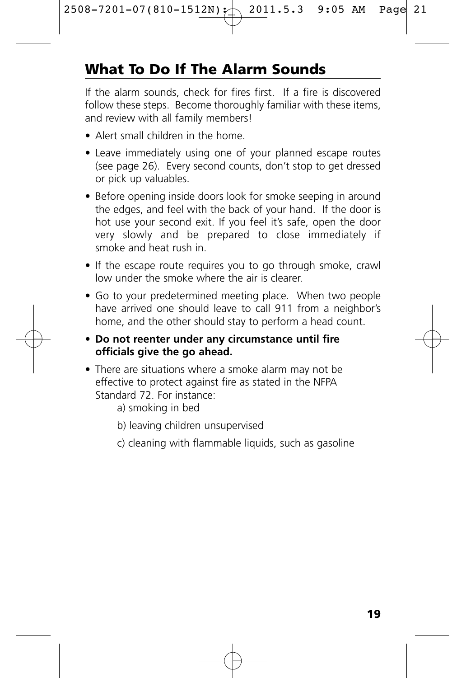# **What To Do If The Alarm Sounds**

If the alarm sounds, check for fires first. If a fire is discovered follow these steps. Become thoroughly familiar with these items, and review with all family members!

- Alert small children in the home.
- Leave immediately using one of your planned escape routes (see page 26). Every second counts, don't stop to get dressed or pick up valuables.
- Before opening inside doors look for smoke seeping in around the edges, and feel with the back of your hand. If the door is hot use your second exit. If you feel it's safe, open the door very slowly and be prepared to close immediately if smoke and heat rush in.
- If the escape route requires you to go through smoke, crawl low under the smoke where the air is clearer.
- Go to your predetermined meeting place. When two people have arrived one should leave to call 911 from a neighbor's home, and the other should stay to perform a head count.
- **Do not reenter under any circumstance until fire officials give the go ahead.**
- There are situations where a smoke alarm may not be effective to protect against fire as stated in the NFPA Standard 72. For instance:
	- a) smoking in bed
	- b) leaving children unsupervised
	- c) cleaning with flammable liquids, such as gasoline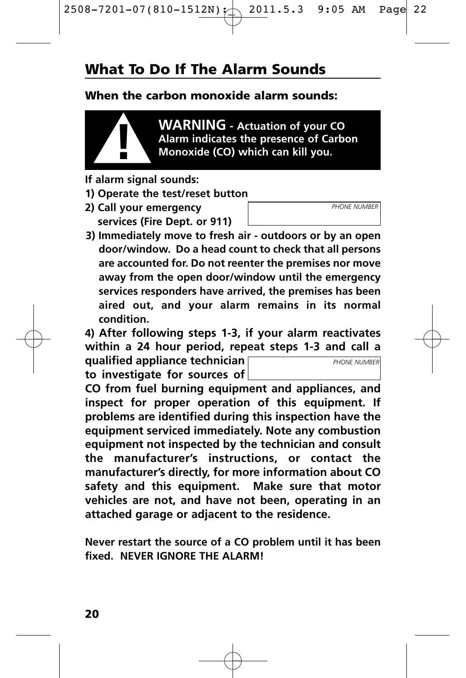### **What To Do If The Alarm Sounds**

#### **When the carbon monoxide alarm sounds:**



**WARNING - Actuation of your CO Alarm indicates the presence of Carbon ! Monoxide (CO) which can kill you.**

- **If alarm signal sounds:**
- **1) Operate the test/reset button**
- **2) Call your emergency services (Fire Dept. or 911)**
- **3) Immediately move to fresh air outdoors or by an open door/window. Do a head count to check that all persons are accounted for. Do not reenter the premises nor move away from the open door/window until the emergency services responders have arrived, the premises has been aired out, and your alarm remains in its normal condition.**

**4) After following steps 1-3, if your alarm reactivates within a 24 hour period, repeat steps 1-3 and call a**

**qualified appliance technician to investigate for sources of**

**CO from fuel burning equipment and appliances, and inspect for proper operation of this equipment. If problems are identified during this inspection have the equipment serviced immediately. Note any combustion equipment not inspected by the technician and consult the manufacturer's instructions, or contact the manufacturer's directly, for more information about CO safety and this equipment. Make sure that motor vehicles are not, and have not been, operating in an attached garage or adjacent to the residence.**

**Never restart the source of a CO problem until it has been fixed. NEVER IGNORE THE ALARM!**



*PHONE NUMBER*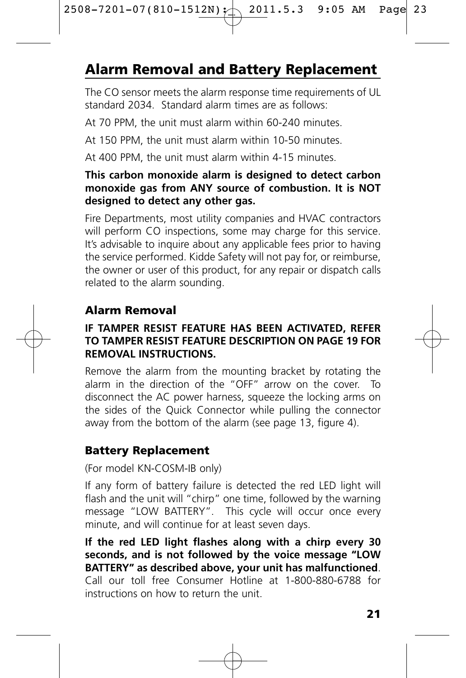# **Alarm Removal and Battery Replacement**

The CO sensor meets the alarm response time requirements of UL standard 2034. Standard alarm times are as follows:

At 70 PPM, the unit must alarm within 60-240 minutes.

At 150 PPM, the unit must alarm within 10-50 minutes.

At 400 PPM, the unit must alarm within 4-15 minutes.

#### **This carbon monoxide alarm is designed to detect carbon monoxide gas from ANY source of combustion. It is NOT designed to detect any other gas.**

Fire Departments, most utility companies and HVAC contractors will perform CO inspections, some may charge for this service. It's advisable to inquire about any applicable fees prior to having the service performed. Kidde Safety will not pay for, or reimburse, the owner or user of this product, for any repair or dispatch calls related to the alarm sounding.

### **Alarm Removal**

#### **IF TAMPER RESIST FEATURE HAS BEEN ACTIVATED, REFER TO TAMPER RESIST FEATURE DESCRIPTION ON PAGE 19 FOR REMOVAL INSTRUCTIONS.**

Remove the alarm from the mounting bracket by rotating the alarm in the direction of the "OFF" arrow on the cover. To disconnect the AC power harness, squeeze the locking arms on the sides of the Quick Connector while pulling the connector away from the bottom of the alarm (see page 13, figure 4).

### **Battery Replacement**

#### (For model KN-COSM-IB only)

If any form of battery failure is detected the red LED light will flash and the unit will "chirp" one time, followed by the warning message "LOW BATTERY". This cycle will occur once every minute, and will continue for at least seven days.

**If the red LED light flashes along with a chirp every 30 seconds, and is not followed by the voice message "LOW BATTERY" as described above, your unit has malfunctioned**. Call our toll free Consumer Hotline at 1-800-880-6788 for instructions on how to return the unit.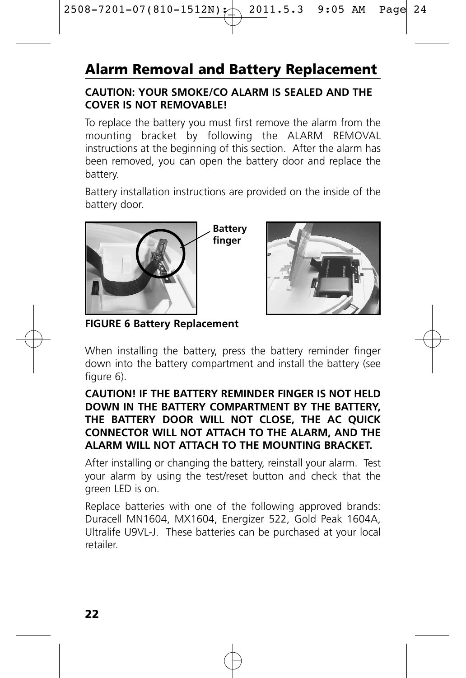# **Alarm Removal and Battery Replacement**

#### **CAUTION: YOUR SMOKE/CO ALARM IS SEALED AND THE COVER IS NOT REMOVABLE!**

To replace the battery you must first remove the alarm from the mounting bracket by following the ALARM REMOVAL instructions at the beginning of this section. After the alarm has been removed, you can open the battery door and replace the battery.

Battery installation instructions are provided on the inside of the battery door.



**FIGURE 6 Battery Replacement**

When installing the battery, press the battery reminder finger down into the battery compartment and install the battery (see figure 6).

#### **CAUTION! IF THE BATTERY REMINDER FINGER IS NOT HELD DOWN IN THE BATTERY COMPARTMENT BY THE BATTERY, THE BATTERY DOOR WILL NOT CLOSE, THE AC QUICK CONNECTOR WILL NOT ATTACH TO THE ALARM, AND THE ALARM WILL NOT ATTACH TO THE MOUNTING BRACKET.**

After installing or changing the battery, reinstall your alarm. Test your alarm by using the test/reset button and check that the green LED is on.

Replace batteries with one of the following approved brands: Duracell MN1604, MX1604, Energizer 522, Gold Peak 1604A, Ultralife U9VL-J. These batteries can be purchased at your local retailer.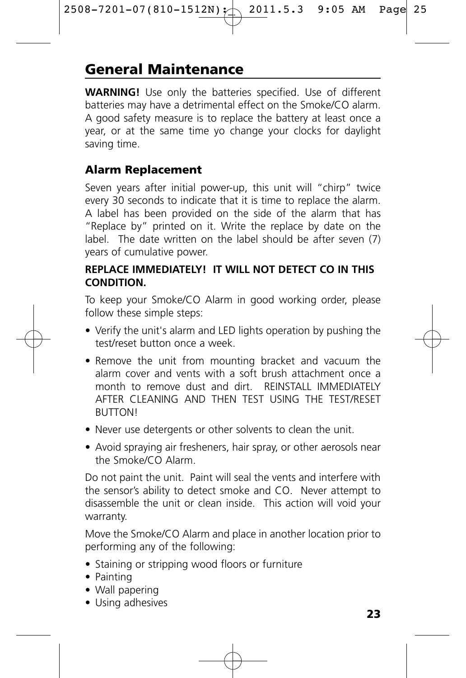### **General Maintenance**

**WARNING!** Use only the batteries specified. Use of different batteries may have a detrimental effect on the Smoke/CO alarm. A good safety measure is to replace the battery at least once a year, or at the same time yo change your clocks for daylight saving time.

#### **Alarm Replacement**

Seven years after initial power-up, this unit will "chirp" twice every 30 seconds to indicate that it is time to replace the alarm. A label has been provided on the side of the alarm that has "Replace by" printed on it. Write the replace by date on the label. The date written on the label should be after seven (7) years of cumulative power.

#### **REPLACE IMMEDIATELY! IT WILL NOT DETECT CO IN THIS CONDITION.**

To keep your Smoke/CO Alarm in good working order, please follow these simple steps:

- Verify the unit's alarm and LED lights operation by pushing the test/reset button once a week.
- Remove the unit from mounting bracket and vacuum the alarm cover and vents with a soft brush attachment once a month to remove dust and dirt. REINSTALL IMMEDIATELY AFTER CLEANING AND THEN TEST USING THE TEST/RESET **BUTTON!**
- Never use detergents or other solvents to clean the unit.
- Avoid spraying air fresheners, hair spray, or other aerosols near the Smoke/CO Alarm.

Do not paint the unit. Paint will seal the vents and interfere with the sensor's ability to detect smoke and CO. Never attempt to disassemble the unit or clean inside. This action will void your warranty.

Move the Smoke/CO Alarm and place in another location prior to performing any of the following:

- Staining or stripping wood floors or furniture
- Painting
- Wall papering
- Using adhesives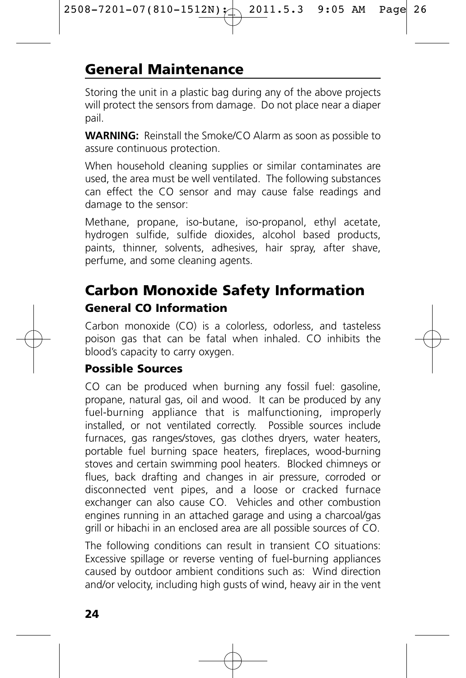### **General Maintenance**

Storing the unit in a plastic bag during any of the above projects will protect the sensors from damage. Do not place near a diaper pail.

**WARNING:** Reinstall the Smoke/CO Alarm as soon as possible to assure continuous protection.

When household cleaning supplies or similar contaminates are used, the area must be well ventilated. The following substances can effect the CO sensor and may cause false readings and damage to the sensor:

Methane, propane, iso-butane, iso-propanol, ethyl acetate, hydrogen sulfide, sulfide dioxides, alcohol based products, paints, thinner, solvents, adhesives, hair spray, after shave, perfume, and some cleaning agents.

### **Carbon Monoxide Safety Information General CO Information**

Carbon monoxide (CO) is a colorless, odorless, and tasteless poison gas that can be fatal when inhaled. CO inhibits the blood's capacity to carry oxygen.

#### **Possible Sources**

CO can be produced when burning any fossil fuel: gasoline, propane, natural gas, oil and wood. It can be produced by any fuel-burning appliance that is malfunctioning, improperly installed, or not ventilated correctly. Possible sources include furnaces, gas ranges/stoves, gas clothes dryers, water heaters, portable fuel burning space heaters, fireplaces, wood-burning stoves and certain swimming pool heaters. Blocked chimneys or flues, back drafting and changes in air pressure, corroded or disconnected vent pipes, and a loose or cracked furnace exchanger can also cause CO. Vehicles and other combustion engines running in an attached garage and using a charcoal/gas grill or hibachi in an enclosed area are all possible sources of CO.

The following conditions can result in transient CO situations: Excessive spillage or reverse venting of fuel-burning appliances caused by outdoor ambient conditions such as: Wind direction and/or velocity, including high gusts of wind, heavy air in the vent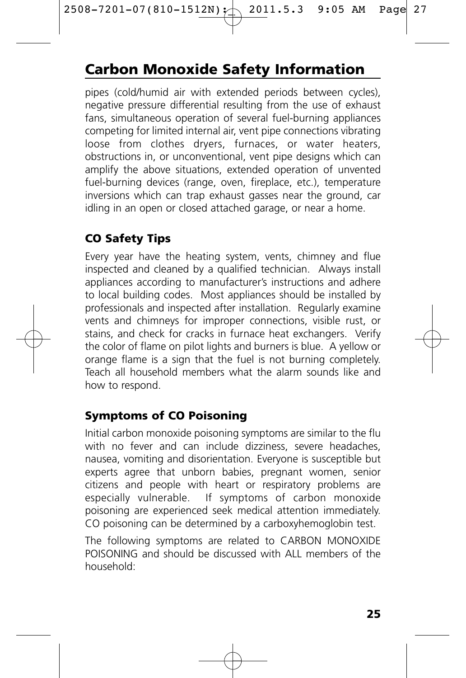# **Carbon Monoxide Safety Information**

pipes (cold/humid air with extended periods between cycles), negative pressure differential resulting from the use of exhaust fans, simultaneous operation of several fuel-burning appliances competing for limited internal air, vent pipe connections vibrating loose from clothes dryers, furnaces, or water heaters, obstructions in, or unconventional, vent pipe designs which can amplify the above situations, extended operation of unvented fuel-burning devices (range, oven, fireplace, etc.), temperature inversions which can trap exhaust gasses near the ground, car idling in an open or closed attached garage, or near a home.

### **CO Safety Tips**

Every year have the heating system, vents, chimney and flue inspected and cleaned by a qualified technician. Always install appliances according to manufacturer's instructions and adhere to local building codes. Most appliances should be installed by professionals and inspected after installation. Regularly examine vents and chimneys for improper connections, visible rust, or stains, and check for cracks in furnace heat exchangers. Verify the color of flame on pilot lights and burners is blue. A yellow or orange flame is a sign that the fuel is not burning completely. Teach all household members what the alarm sounds like and how to respond.

### **Symptoms of CO Poisoning**

Initial carbon monoxide poisoning symptoms are similar to the flu with no fever and can include dizziness, severe headaches, nausea, vomiting and disorientation. Everyone is susceptible but experts agree that unborn babies, pregnant women, senior citizens and people with heart or respiratory problems are especially vulnerable. If symptoms of carbon monoxide poisoning are experienced seek medical attention immediately. CO poisoning can be determined by a carboxyhemoglobin test.

The following symptoms are related to CARBON MONOXIDE POISONING and should be discussed with ALL members of the household: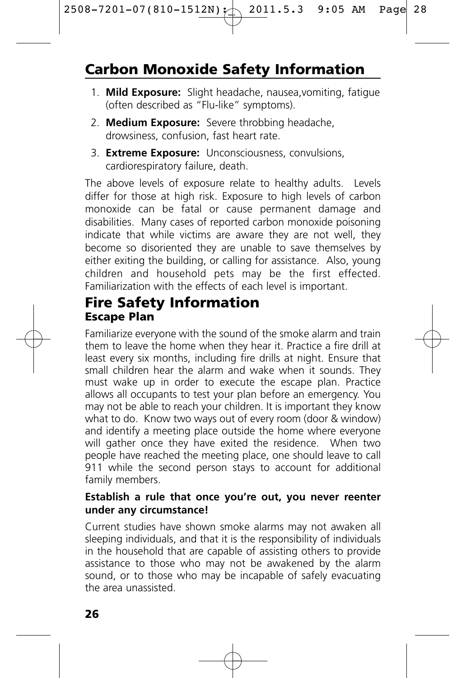# **Carbon Monoxide Safety Information**

- 1. **Mild Exposure:** Slight headache, nausea,vomiting, fatigue (often described as "Flu-like" symptoms).
- 2. **Medium Exposure:** Severe throbbing headache, drowsiness, confusion, fast heart rate.
- 3. **Extreme Exposure:** Unconsciousness, convulsions, cardiorespiratory failure, death.

The above levels of exposure relate to healthy adults. Levels differ for those at high risk. Exposure to high levels of carbon monoxide can be fatal or cause permanent damage and disabilities. Many cases of reported carbon monoxide poisoning indicate that while victims are aware they are not well, they become so disoriented they are unable to save themselves by either exiting the building, or calling for assistance. Also, young children and household pets may be the first effected. Familiarization with the effects of each level is important.

### **Fire Safety Information Escape Plan**

Familiarize everyone with the sound of the smoke alarm and train them to leave the home when they hear it. Practice a fire drill at least every six months, including fire drills at night. Ensure that small children hear the alarm and wake when it sounds. They must wake up in order to execute the escape plan. Practice allows all occupants to test your plan before an emergency. You may not be able to reach your children. It is important they know what to do. Know two ways out of every room (door & window) and identify a meeting place outside the home where everyone will gather once they have exited the residence. When two people have reached the meeting place, one should leave to call 911 while the second person stays to account for additional family members.

#### **Establish a rule that once you're out, you never reenter under any circumstance!**

Current studies have shown smoke alarms may not awaken all sleeping individuals, and that it is the responsibility of individuals in the household that are capable of assisting others to provide assistance to those who may not be awakened by the alarm sound, or to those who may be incapable of safely evacuating the area unassisted.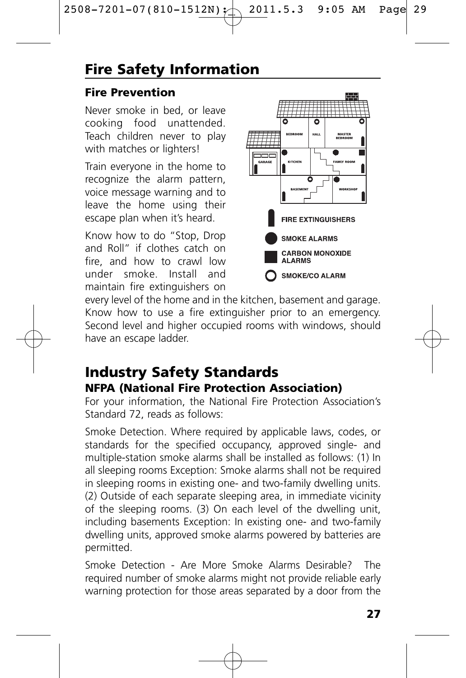# **Fire Safety Information**

### **Fire Prevention**

Never smoke in bed, or leave cooking food unattended. Teach children never to play with matches or lighters!

Train everyone in the home to recognize the alarm pattern, voice message warning and to leave the home using their escape plan when it's heard.

Know how to do "Stop, Drop and Roll" if clothes catch on fire, and how to crawl low under smoke. Install and maintain fire extinguishers on



every level of the home and in the kitchen, basement and garage. Know how to use a fire extinguisher prior to an emergency. Second level and higher occupied rooms with windows, should have an escape ladder.

### **Industry Safety Standards NFPA (National Fire Protection Association)**

For your information, the National Fire Protection Association's Standard 72, reads as follows:

Smoke Detection. Where required by applicable laws, codes, or standards for the specified occupancy, approved single- and multiple-station smoke alarms shall be installed as follows: (1) In all sleeping rooms Exception: Smoke alarms shall not be required in sleeping rooms in existing one- and two-family dwelling units. (2) Outside of each separate sleeping area, in immediate vicinity of the sleeping rooms. (3) On each level of the dwelling unit, including basements Exception: In existing one- and two-family dwelling units, approved smoke alarms powered by batteries are permitted.

Smoke Detection - Are More Smoke Alarms Desirable? The required number of smoke alarms might not provide reliable early warning protection for those areas separated by a door from the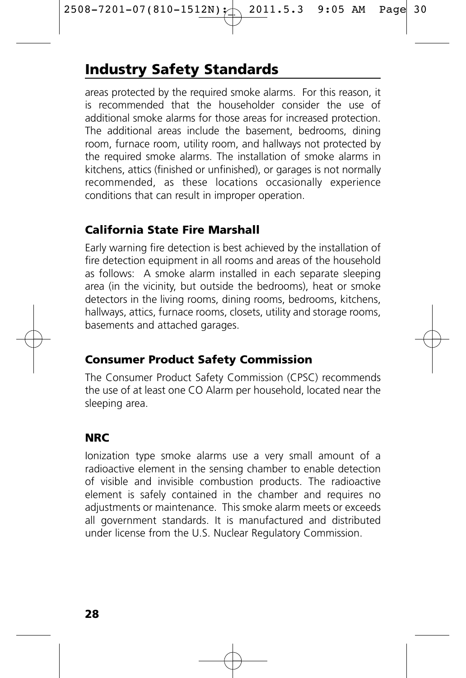# **Industry Safety Standards**

areas protected by the required smoke alarms. For this reason, it is recommended that the householder consider the use of additional smoke alarms for those areas for increased protection. The additional areas include the basement, bedrooms, dining room, furnace room, utility room, and hallways not protected by the required smoke alarms. The installation of smoke alarms in kitchens, attics (finished or unfinished), or garages is not normally recommended, as these locations occasionally experience conditions that can result in improper operation.

### **California State Fire Marshall**

Early warning fire detection is best achieved by the installation of fire detection equipment in all rooms and areas of the household as follows: A smoke alarm installed in each separate sleeping area (in the vicinity, but outside the bedrooms), heat or smoke detectors in the living rooms, dining rooms, bedrooms, kitchens, hallways, attics, furnace rooms, closets, utility and storage rooms, basements and attached garages.

### **Consumer Product Safety Commission**

The Consumer Product Safety Commission (CPSC) recommends the use of at least one CO Alarm per household, located near the sleeping area.

### **NRC**

Ionization type smoke alarms use a very small amount of a radioactive element in the sensing chamber to enable detection of visible and invisible combustion products. The radioactive element is safely contained in the chamber and requires no adjustments or maintenance. This smoke alarm meets or exceeds all government standards. It is manufactured and distributed under license from the U.S. Nuclear Regulatory Commission.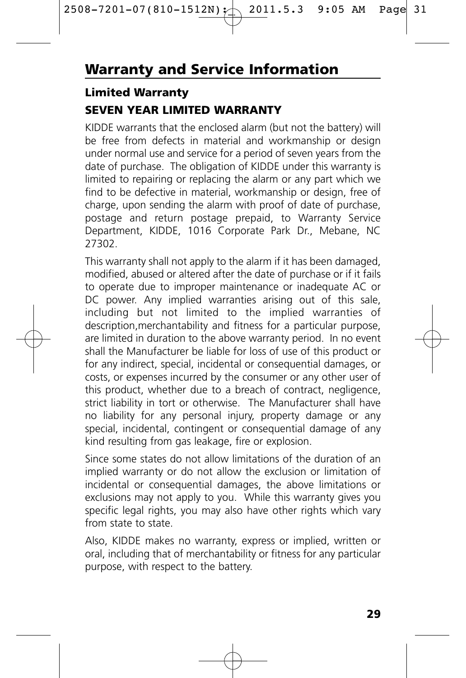### **Limited Warranty**

#### **SEVEN YEAR LIMITED WARRANTY**

KIDDE warrants that the enclosed alarm (but not the battery) will be free from defects in material and workmanship or design under normal use and service for a period of seven years from the date of purchase. The obligation of KIDDE under this warranty is limited to repairing or replacing the alarm or any part which we find to be defective in material, workmanship or design, free of charge, upon sending the alarm with proof of date of purchase, postage and return postage prepaid, to Warranty Service Department, KIDDE, 1016 Corporate Park Dr., Mebane, NC 27302.

This warranty shall not apply to the alarm if it has been damaged, modified, abused or altered after the date of purchase or if it fails to operate due to improper maintenance or inadequate AC or DC power. Any implied warranties arising out of this sale, including but not limited to the implied warranties of description,merchantability and fitness for a particular purpose, are limited in duration to the above warranty period. In no event shall the Manufacturer be liable for loss of use of this product or for any indirect, special, incidental or consequential damages, or costs, or expenses incurred by the consumer or any other user of this product, whether due to a breach of contract, negligence, strict liability in tort or otherwise. The Manufacturer shall have no liability for any personal injury, property damage or any special, incidental, contingent or consequential damage of any kind resulting from gas leakage, fire or explosion.

Since some states do not allow limitations of the duration of an implied warranty or do not allow the exclusion or limitation of incidental or consequential damages, the above limitations or exclusions may not apply to you. While this warranty gives you specific legal rights, you may also have other rights which vary from state to state.

Also, KIDDE makes no warranty, express or implied, written or oral, including that of merchantability or fitness for any particular purpose, with respect to the battery.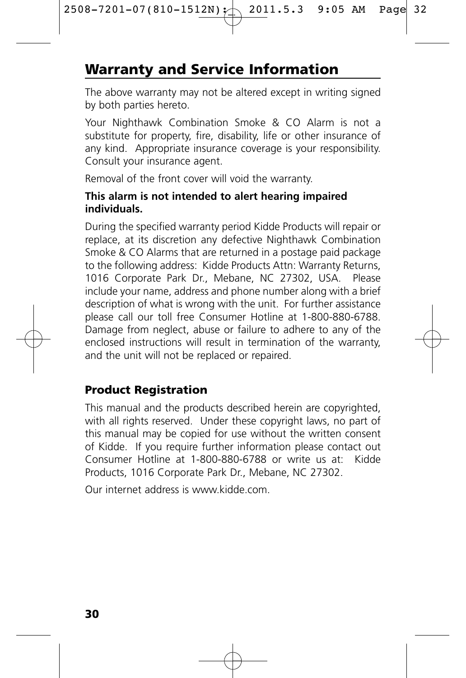# **Warranty and Service Information**

The above warranty may not be altered except in writing signed by both parties hereto.

Your Nighthawk Combination Smoke & CO Alarm is not a substitute for property, fire, disability, life or other insurance of any kind. Appropriate insurance coverage is your responsibility. Consult your insurance agent.

Removal of the front cover will void the warranty.

#### **This alarm is not intended to alert hearing impaired individuals.**

During the specified warranty period Kidde Products will repair or replace, at its discretion any defective Nighthawk Combination Smoke & CO Alarms that are returned in a postage paid package to the following address: Kidde Products Attn: Warranty Returns, 1016 Corporate Park Dr., Mebane, NC 27302, USA. Please include your name, address and phone number along with a brief description of what is wrong with the unit. For further assistance please call our toll free Consumer Hotline at 1-800-880-6788. Damage from neglect, abuse or failure to adhere to any of the enclosed instructions will result in termination of the warranty, and the unit will not be replaced or repaired.

### **Product Registration**

This manual and the products described herein are copyrighted, with all rights reserved. Under these copyright laws, no part of this manual may be copied for use without the written consent of Kidde. If you require further information please contact out Consumer Hotline at 1-800-880-6788 or write us at: Kidde Products, 1016 Corporate Park Dr., Mebane, NC 27302.

Our internet address is www.kidde.com.